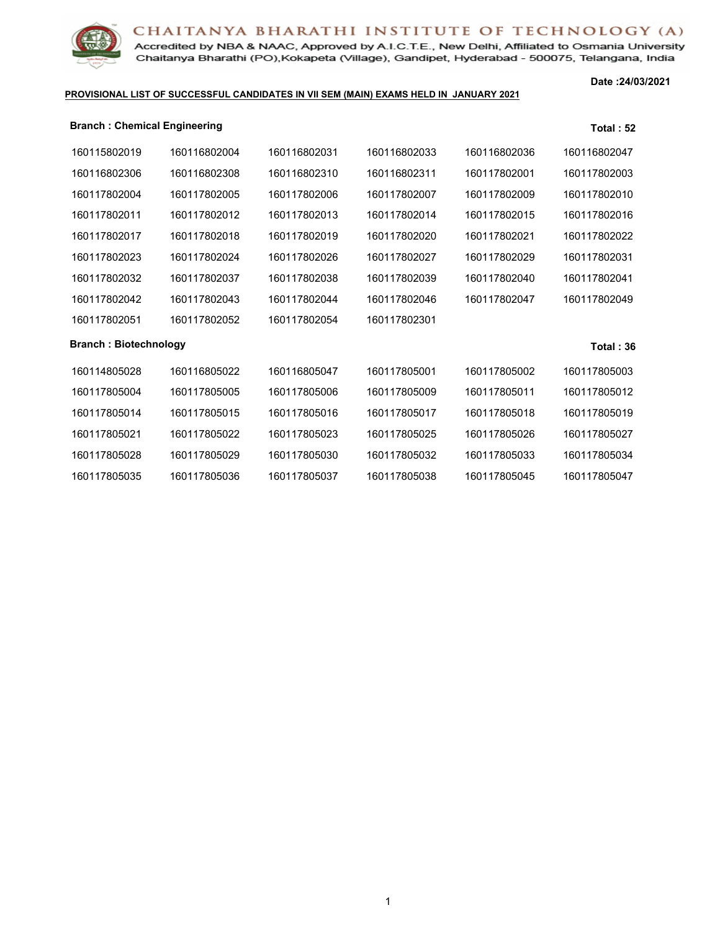Accredited by NBA & NAAC, Approved by A.I.C.T.E., New Delhi, Affiliated to Osmania University Chaitanya Bharathi (PO), Kokapeta (Village), Gandipet, Hyderabad - 500075, Telangana, India

#### **PROVISIONAL LIST OF SUCCESSFUL CANDIDATES IN VII SEM (MAIN) EXAMS HELD IN JANUARY 2021**

**Date :24/03/2021**

| <b>Branch: Chemical Engineering</b> |              |              |              |              | Total: 52        |
|-------------------------------------|--------------|--------------|--------------|--------------|------------------|
| 160115802019                        | 160116802004 | 160116802031 | 160116802033 | 160116802036 | 160116802047     |
| 160116802306                        | 160116802308 | 160116802310 | 160116802311 | 160117802001 | 160117802003     |
| 160117802004                        | 160117802005 | 160117802006 | 160117802007 | 160117802009 | 160117802010     |
| 160117802011                        | 160117802012 | 160117802013 | 160117802014 | 160117802015 | 160117802016     |
| 160117802017                        | 160117802018 | 160117802019 | 160117802020 | 160117802021 | 160117802022     |
| 160117802023                        | 160117802024 | 160117802026 | 160117802027 | 160117802029 | 160117802031     |
| 160117802032                        | 160117802037 | 160117802038 | 160117802039 | 160117802040 | 160117802041     |
| 160117802042                        | 160117802043 | 160117802044 | 160117802046 | 160117802047 | 160117802049     |
| 160117802051                        | 160117802052 | 160117802054 | 160117802301 |              |                  |
| <b>Branch: Biotechnology</b>        |              |              |              |              | <b>Total: 36</b> |
| 160114805028                        | 160116805022 | 160116805047 | 160117805001 | 160117805002 | 160117805003     |
| 160117805004                        | 160117805005 | 160117805006 | 160117805009 | 160117805011 | 160117805012     |
| 160117805014                        | 160117805015 | 160117805016 | 160117805017 | 160117805018 | 160117805019     |
| 160117805021                        | 160117805022 | 160117805023 | 160117805025 | 160117805026 | 160117805027     |
| 160117805028                        | 160117805029 | 160117805030 | 160117805032 | 160117805033 | 160117805034     |
| 160117805035                        | 160117805036 | 160117805037 | 160117805038 | 160117805045 | 160117805047     |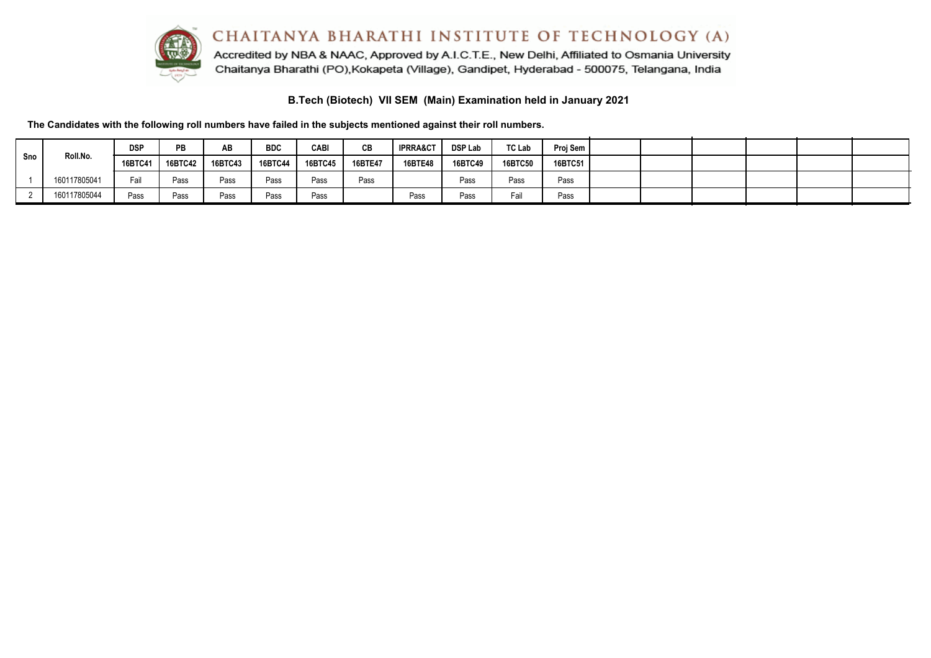

Accredited by NBA & NAAC, Approved by A.I.C.T.E., New Delhi, Affiliated to Osmania University Chaitanya Bharathi (PO), Kokapeta (Village), Gandipet, Hyderabad - 500075, Telangana, India

**B.Tech (Biotech) VII SEM (Main) Examination held in January 2021**

**The Candidates with the following roll numbers have failed in the subjects mentioned against their roll numbers.**

|     |                     | <b>DSP</b> | <b>PB</b> | AB             | <b>BDC</b>     | <b>CABI</b>    | CВ      | <b>IPRRA&amp;CT</b> | <b>DSP Lab</b> | <b>TC Lab</b> | Proj Sem |  |  |  |
|-----|---------------------|------------|-----------|----------------|----------------|----------------|---------|---------------------|----------------|---------------|----------|--|--|--|
| Sno | Roll.No.<br>16BTC41 | 16BTC42    | 16BTC43   | <b>16BTC44</b> | <b>16BTC45</b> | <b>16BTE47</b> | 16BTE48 | 16BTC49             | 16BTC50        | 16BTC51       |          |  |  |  |
|     | 160117805041        | Fail       | Pass      | Pass           | Pass           | Pass           | Pass    |                     | Pass           | Pass          | Pass     |  |  |  |
|     | 160117805044        | Pass       | Pass      | Pass           | Pass           | Pass           |         | Pass                | Pass           | Fail          | Pass     |  |  |  |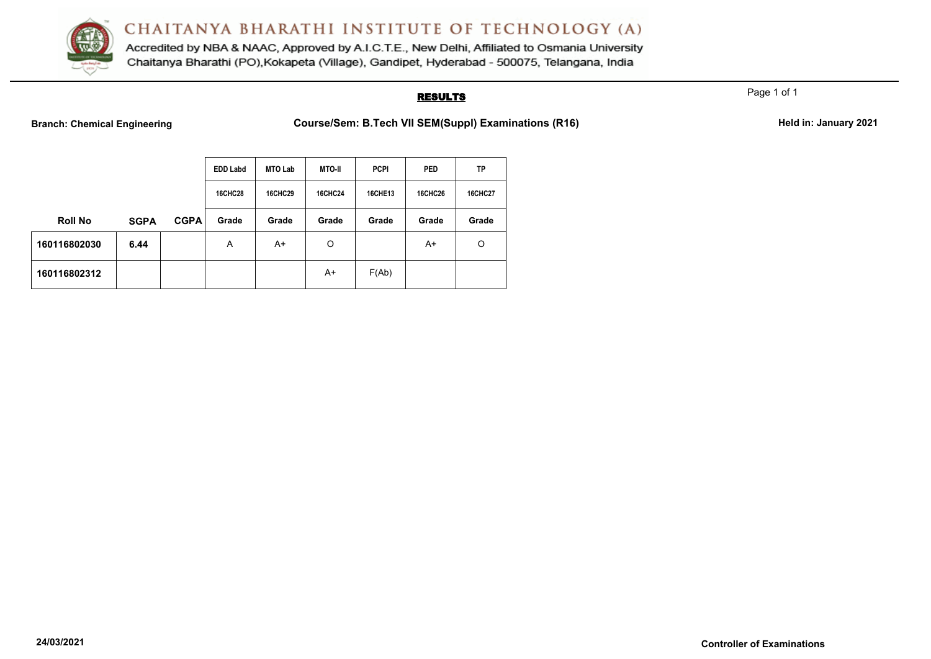

Accredited by NBA & NAAC, Approved by A.I.C.T.E., New Delhi, Affiliated to Osmania University Chaitanya Bharathi (PO), Kokapeta (Village), Gandipet, Hyderabad - 500075, Telangana, India

## **RESULTS**

Page 1 of 1

Branch: Chemical Engineering **Course/Sem: B.Tech VII SEM(Suppl) Examinations (R16)** Held in: January 2021

|                |             |             | <b>EDD Labd</b> | <b>MTO Lab</b> | <b>MTO-II</b>  | <b>PCPI</b>    | <b>PED</b>     | TP             |
|----------------|-------------|-------------|-----------------|----------------|----------------|----------------|----------------|----------------|
|                |             |             | <b>16CHC28</b>  | <b>16CHC29</b> | <b>16CHC24</b> | <b>16CHE13</b> | <b>16CHC26</b> | <b>16CHC27</b> |
| <b>Roll No</b> | <b>SGPA</b> | <b>CGPA</b> | Grade           | Grade          | Grade          | Grade          | Grade          | Grade          |
| 160116802030   | 6.44        |             | A               | A+             | O              |                | A+             | O              |
| 160116802312   |             |             |                 |                | A+             | F(Ab)          |                |                |